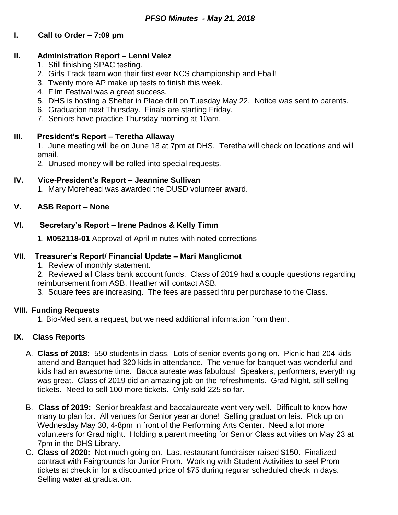# **I. Call to Order – 7:09 pm**

## **II. Administration Report – Lenni Velez**

- 1. Still finishing SPAC testing.
- 2. Girls Track team won their first ever NCS championship and Eball!
- 3. Twenty more AP make up tests to finish this week.
- 4. Film Festival was a great success.
- 5. DHS is hosting a Shelter in Place drill on Tuesday May 22. Notice was sent to parents.
- 6. Graduation next Thursday. Finals are starting Friday.
- 7. Seniors have practice Thursday morning at 10am.

## **III. President's Report – Teretha Allaway**

1. June meeting will be on June 18 at 7pm at DHS. Teretha will check on locations and will email.

2. Unused money will be rolled into special requests.

## **IV. Vice-President's Report – Jeannine Sullivan**

1. Mary Morehead was awarded the DUSD volunteer award.

## **V. ASB Report – None**

## **VI. Secretary's Report – Irene Padnos & Kelly Timm**

1. **M052118-01** Approval of April minutes with noted corrections

## **VII. Treasurer's Report/ Financial Update – Mari Manglicmot**

1. Review of monthly statement.

2. Reviewed all Class bank account funds. Class of 2019 had a couple questions regarding reimbursement from ASB, Heather will contact ASB.

3. Square fees are increasing. The fees are passed thru per purchase to the Class.

#### **VIII. Funding Requests**

1. Bio-Med sent a request, but we need additional information from them.

#### **IX. Class Reports**

- A. **Class of 2018:** 550 students in class. Lots of senior events going on. Picnic had 204 kids attend and Banquet had 320 kids in attendance. The venue for banquet was wonderful and kids had an awesome time. Baccalaureate was fabulous! Speakers, performers, everything was great. Class of 2019 did an amazing job on the refreshments. Grad Night, still selling tickets. Need to sell 100 more tickets. Only sold 225 so far.
- B. **Class of 2019:** Senior breakfast and baccalaureate went very well. Difficult to know how many to plan for. All venues for Senior year ar done! Selling graduation leis. Pick up on Wednesday May 30, 4-8pm in front of the Performing Arts Center. Need a lot more volunteers for Grad night. Holding a parent meeting for Senior Class activities on May 23 at 7pm in the DHS Library.
- C. **Class of 2020:** Not much going on. Last restaurant fundraiser raised \$150. Finalized contract with Fairgrounds for Junior Prom. Working with Student Activities to seel Prom tickets at check in for a discounted price of \$75 during regular scheduled check in days. Selling water at graduation.